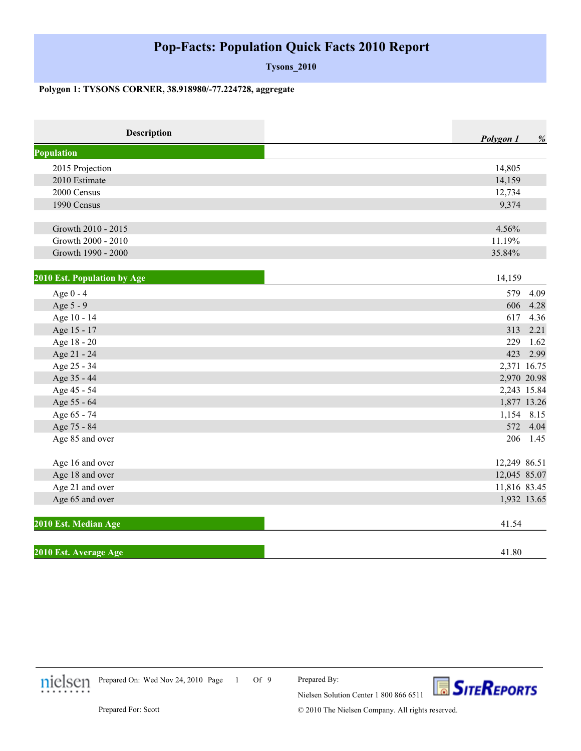## **Pop-Facts: Population Quick Facts 2010 Report**

**Tysons\_2010**

## **Polygon 1: TYSONS CORNER, 38.918980/-77.224728, aggregate**

| Description                 | Polygon 1    | %        |
|-----------------------------|--------------|----------|
| <b>Population</b>           |              |          |
| 2015 Projection             | 14,805       |          |
| 2010 Estimate               | 14,159       |          |
| 2000 Census                 | 12,734       |          |
| 1990 Census                 | 9,374        |          |
| Growth 2010 - 2015          | 4.56%        |          |
| Growth 2000 - 2010          | 11.19%       |          |
| Growth 1990 - 2000          | 35.84%       |          |
| 2010 Est. Population by Age | 14,159       |          |
| Age 0 - 4                   | 579          | 4.09     |
| Age 5 - 9                   | 606          | 4.28     |
| Age 10 - 14                 | 617          | 4.36     |
| Age 15 - 17                 | 313          | 2.21     |
| Age 18 - 20                 | 229          | 1.62     |
| Age 21 - 24                 | 423          | 2.99     |
| Age 25 - 34                 | 2,371 16.75  |          |
| Age 35 - 44                 | 2,970 20.98  |          |
| Age 45 - 54                 | 2,243 15.84  |          |
| Age 55 - 64                 | 1,877 13.26  |          |
| Age 65 - 74                 | 1,154 8.15   |          |
| Age 75 - 84                 |              | 572 4.04 |
| Age 85 and over             | 206 1.45     |          |
| Age 16 and over             | 12,249 86.51 |          |
| Age 18 and over             | 12,045 85.07 |          |
| Age 21 and over             | 11,816 83.45 |          |
| Age 65 and over             | 1,932 13.65  |          |
| 2010 Est. Median Age        | 41.54        |          |
| 2010 Est. Average Age       | 41.80        |          |



1 Of 9 Prepared On: Wed Nov 24, 2010 Page



© 2010 The Nielsen Company. All rights reserved.